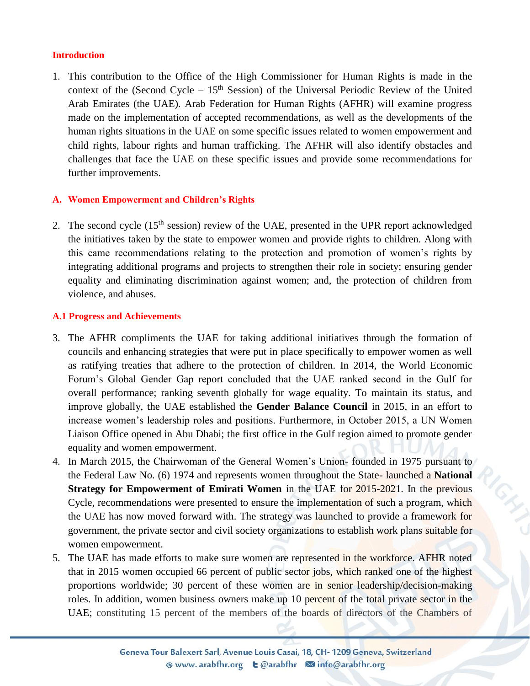## **Introduction**

1. This contribution to the Office of the High Commissioner for Human Rights is made in the context of the (Second Cycle –  $15<sup>th</sup>$  Session) of the Universal Periodic Review of the United Arab Emirates (the UAE). Arab Federation for Human Rights (AFHR) will examine progress made on the implementation of accepted recommendations, as well as the developments of the human rights situations in the UAE on some specific issues related to women empowerment and child rights, labour rights and human trafficking. The AFHR will also identify obstacles and challenges that face the UAE on these specific issues and provide some recommendations for further improvements.

# **A. Women Empowerment and Children's Rights**

2. The second cycle (15<sup>th</sup> session) review of the UAE, presented in the UPR report acknowledged the initiatives taken by the state to empower women and provide rights to children. Along with this came recommendations relating to the protection and promotion of women's rights by integrating additional programs and projects to strengthen their role in society; ensuring gender equality and eliminating discrimination against women; and, the protection of children from violence, and abuses.

# **A.1 Progress and Achievements**

- 3. The AFHR compliments the UAE for taking additional initiatives through the formation of councils and enhancing strategies that were put in place specifically to empower women as well as ratifying treaties that adhere to the protection of children. In 2014, the World Economic Forum's Global Gender Gap report concluded that the UAE ranked second in the Gulf for overall performance; ranking seventh globally for wage equality. To maintain its status, and improve globally, the UAE established the **Gender Balance Council** in 2015, in an effort to increase women's leadership roles and positions. Furthermore, in October 2015, a UN Women Liaison Office opened in Abu Dhabi; the first office in the Gulf region aimed to promote gender equality and women empowerment.
- 4. In March 2015, the Chairwoman of the General Women's Union- founded in 1975 pursuant to the Federal Law No. (6) 1974 and represents women throughout the State- launched a **National Strategy for Empowerment of Emirati Women** in the UAE for 2015-2021. In the previous Cycle, recommendations were presented to ensure the implementation of such a program, which the UAE has now moved forward with. The strategy was launched to provide a framework for government, the private sector and civil society organizations to establish work plans suitable for women empowerment.
- 5. The UAE has made efforts to make sure women are represented in the workforce. AFHR noted that in 2015 women occupied 66 percent of public sector jobs, which ranked one of the highest proportions worldwide; 30 percent of these women are in senior leadership/decision-making roles. In addition, women business owners make up 10 percent of the total private sector in the UAE; constituting 15 percent of the members of the boards of directors of the Chambers of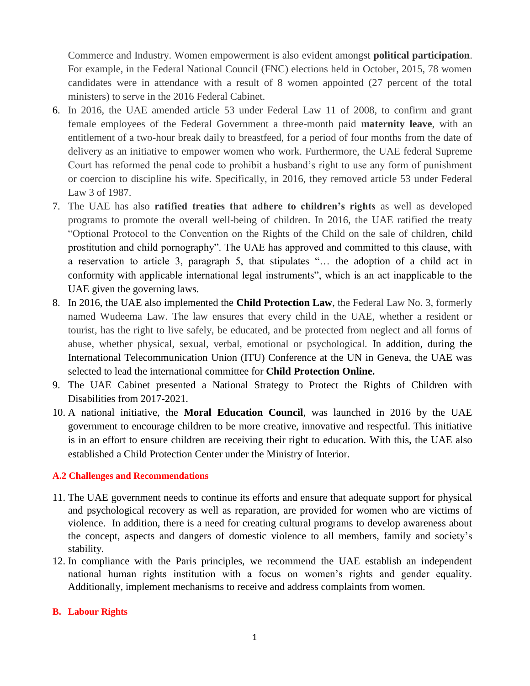Commerce and Industry. Women empowerment is also evident amongst **political participation**. For example, in the Federal National Council (FNC) elections held in October, 2015, 78 women candidates were in attendance with a result of 8 women appointed (27 percent of the total ministers) to serve in the 2016 Federal Cabinet.

- 6. In 2016, the UAE amended article 53 under Federal Law 11 of 2008, to confirm and grant female employees of the Federal Government a three-month paid **maternity leave**, with an entitlement of a two-hour break daily to breastfeed, for a period of four months from the date of delivery as an initiative to empower women who work. Furthermore, the UAE federal Supreme Court has reformed the penal code to prohibit a husband's right to use any form of punishment or coercion to discipline his wife. Specifically, in 2016, they removed article 53 under Federal Law 3 of 1987.
- 7. The UAE has also **ratified treaties that adhere to children's rights** as well as developed programs to promote the overall well-being of children. In 2016, the UAE ratified the treaty "Optional Protocol to the Convention on the Rights of the Child on the sale of children, child prostitution and child pornography". The UAE has approved and committed to this clause, with a reservation to article 3, paragraph 5, that stipulates "… the adoption of a child act in conformity with applicable international legal instruments", which is an act inapplicable to the UAE given the governing laws.
- 8. In 2016, the UAE also implemented the **Child Protection Law**, the Federal Law No. 3, formerly named Wudeema Law. The law ensures that every child in the UAE, whether a resident or tourist, has the right to live safely, be educated, and be protected from neglect and all forms of abuse, whether physical, sexual, verbal, emotional or psychological. In addition, during the International Telecommunication Union (ITU) Conference at the UN in Geneva, the UAE was selected to lead the international committee for **Child Protection Online.**
- 9. The UAE Cabinet presented a National Strategy to Protect the Rights of Children with Disabilities from 2017-2021.
- 10. A national initiative, the **Moral Education Council**, was launched in 2016 by the UAE government to encourage children to be more creative, innovative and respectful. This initiative is in an effort to ensure children are receiving their right to education. With this, the UAE also established a Child Protection Center under the Ministry of Interior.

# **A.2 Challenges and Recommendations**

- 11. The UAE government needs to continue its efforts and ensure that adequate support for physical and psychological recovery as well as reparation, are provided for women who are victims of violence. In addition, there is a need for creating cultural programs to develop awareness about the concept, aspects and dangers of domestic violence to all members, family and society's stability.
- 12. In compliance with the Paris principles, we recommend the UAE establish an independent national human rights institution with a focus on women's rights and gender equality. Additionally, implement mechanisms to receive and address complaints from women.

## **B. Labour Rights**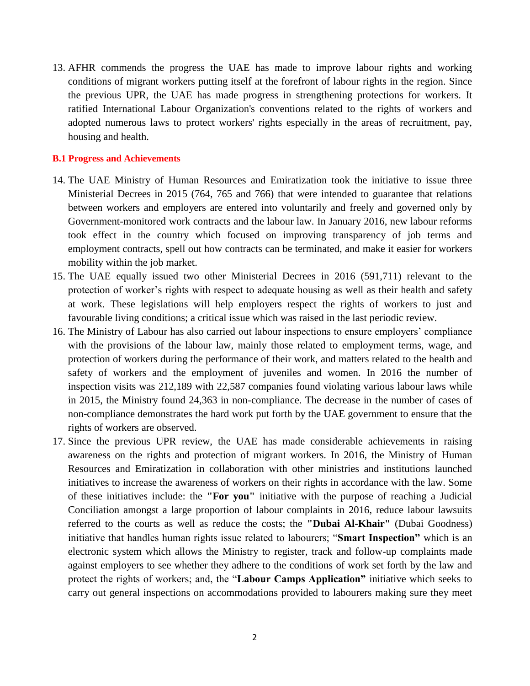13. AFHR commends the progress the UAE has made to improve labour rights and working conditions of migrant workers putting itself at the forefront of labour rights in the region. Since the previous UPR, the UAE has made progress in strengthening protections for workers. It ratified International Labour Organization's conventions related to the rights of workers and adopted numerous laws to protect workers' rights especially in the areas of recruitment, pay, housing and health.

#### **B.1 Progress and Achievements**

- 14. The UAE Ministry of Human Resources and Emiratization took the initiative to issue three Ministerial Decrees in 2015 (764, 765 and 766) that were intended to guarantee that relations between workers and employers are entered into voluntarily and freely and governed only by Government-monitored work contracts and the labour law. In January 2016, new labour reforms took effect in the country which focused on improving transparency of job terms and employment contracts, spell out how contracts can be terminated, and make it easier for workers mobility within the job market.
- 15. The UAE equally issued two other Ministerial Decrees in 2016 (591,711) relevant to the protection of worker's rights with respect to adequate housing as well as their health and safety at work. These legislations will help employers respect the rights of workers to just and favourable living conditions; a critical issue which was raised in the last periodic review.
- 16. The Ministry of Labour has also carried out labour inspections to ensure employers' compliance with the provisions of the labour law, mainly those related to employment terms, wage, and protection of workers during the performance of their work, and matters related to the health and safety of workers and the employment of juveniles and women. In 2016 the number of inspection visits was 212,189 with 22,587 companies found violating various labour laws while in 2015, the Ministry found 24,363 in non-compliance. The decrease in the number of cases of non-compliance demonstrates the hard work put forth by the UAE government to ensure that the rights of workers are observed.
- 17. Since the previous UPR review, the UAE has made considerable achievements in raising awareness on the rights and protection of migrant workers. In 2016, the Ministry of Human Resources and Emiratization in collaboration with other ministries and institutions launched initiatives to increase the awareness of workers on their rights in accordance with the law. Some of these initiatives include: the **"For you"** initiative with the purpose of reaching a Judicial Conciliation amongst a large proportion of labour complaints in 2016, reduce labour lawsuits referred to the courts as well as reduce the costs; the **"Dubai Al-Khair"** (Dubai Goodness) initiative that handles human rights issue related to labourers; "**Smart Inspection"** which is an electronic system which allows the Ministry to register, track and follow-up complaints made against employers to see whether they adhere to the conditions of work set forth by the law and protect the rights of workers; and, the "**Labour Camps Application"** initiative which seeks to carry out general inspections on accommodations provided to labourers making sure they meet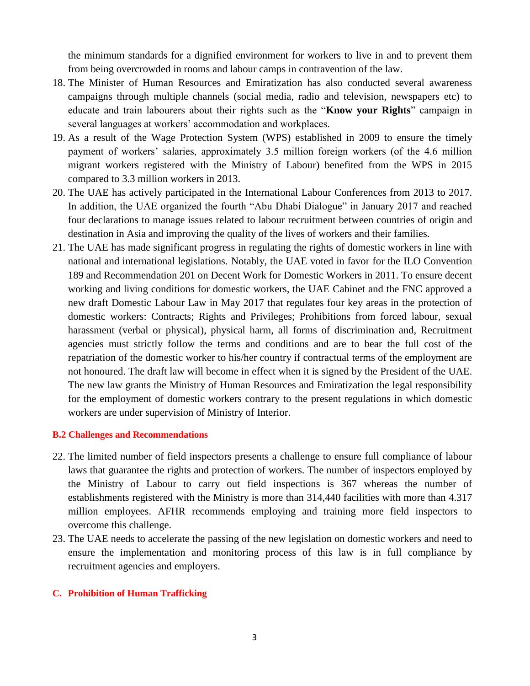the minimum standards for a dignified environment for workers to live in and to prevent them from being overcrowded in rooms and labour camps in contravention of the law.

- 18. The Minister of Human Resources and Emiratization has also conducted several awareness campaigns through multiple channels (social media, radio and television, newspapers etc) to educate and train labourers about their rights such as the "**Know your Rights**" campaign in several languages at workers' accommodation and workplaces.
- 19. As a result of the Wage Protection System (WPS) established in 2009 to ensure the timely payment of workers' salaries, approximately 3.5 million foreign workers (of the 4.6 million migrant workers registered with the Ministry of Labour) benefited from the WPS in 2015 compared to 3.3 million workers in 2013.
- 20. The UAE has actively participated in the International Labour Conferences from 2013 to 2017. In addition, the UAE organized the fourth "Abu Dhabi Dialogue" in January 2017 and reached four declarations to manage issues related to labour recruitment between countries of origin and destination in Asia and improving the quality of the lives of workers and their families.
- 21. The UAE has made significant progress in regulating the rights of domestic workers in line with national and international legislations. Notably, the UAE voted in favor for the ILO Convention 189 and Recommendation 201 on Decent Work for Domestic Workers in 2011. To ensure decent working and living conditions for domestic workers, the UAE Cabinet and the FNC approved a new draft Domestic Labour Law in May 2017 that regulates four key areas in the protection of domestic workers: Contracts; Rights and Privileges; Prohibitions from forced labour, sexual harassment (verbal or physical), physical harm, all forms of discrimination and, Recruitment agencies must strictly follow the terms and conditions and are to bear the full cost of the repatriation of the domestic worker to his/her country if contractual terms of the employment are not honoured. The draft law will become in effect when it is signed by the President of the UAE. The new law grants the Ministry of Human Resources and Emiratization the legal responsibility for the employment of domestic workers contrary to the present regulations in which domestic workers are under supervision of Ministry of Interior.

## **B.2 Challenges and Recommendations**

- 22. The limited number of field inspectors presents a challenge to ensure full compliance of labour laws that guarantee the rights and protection of workers. The number of inspectors employed by the Ministry of Labour to carry out field inspections is 367 whereas the number of establishments registered with the Ministry is more than 314,440 facilities with more than 4.317 million employees. AFHR recommends employing and training more field inspectors to overcome this challenge.
- 23. The UAE needs to accelerate the passing of the new legislation on domestic workers and need to ensure the implementation and monitoring process of this law is in full compliance by recruitment agencies and employers.

## **C. Prohibition of Human Trafficking**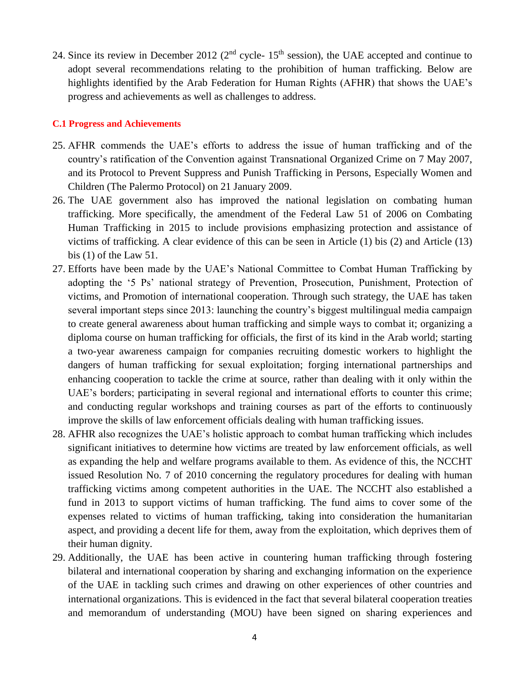24. Since its review in December 2012 ( $2<sup>nd</sup>$  cycle-  $15<sup>th</sup>$  session), the UAE accepted and continue to adopt several recommendations relating to the prohibition of human trafficking. Below are highlights identified by the Arab Federation for Human Rights (AFHR) that shows the UAE's progress and achievements as well as challenges to address.

## **C.1 Progress and Achievements**

- 25. AFHR commends the UAE's efforts to address the issue of human trafficking and of the country's ratification of the Convention against Transnational Organized Crime on 7 May 2007, and its Protocol to Prevent Suppress and Punish Trafficking in Persons, Especially Women and Children (The Palermo Protocol) on 21 January 2009.
- 26. The UAE government also has improved the national legislation on combating human trafficking. More specifically, the amendment of the Federal Law 51 of 2006 on Combating Human Trafficking in 2015 to include provisions emphasizing protection and assistance of victims of trafficking. A clear evidence of this can be seen in Article (1) bis (2) and Article (13) bis (1) of the Law 51.
- 27. Efforts have been made by the UAE's National Committee to Combat Human Trafficking by adopting the '5 Ps' national strategy of Prevention, Prosecution, Punishment, Protection of victims, and Promotion of international cooperation. Through such strategy, the UAE has taken several important steps since 2013: launching the country's biggest multilingual media campaign to create general awareness about human trafficking and simple ways to combat it; organizing a diploma course on human trafficking for officials, the first of its kind in the Arab world; starting a two-year awareness campaign for companies recruiting domestic workers to highlight the dangers of human trafficking for sexual exploitation; forging international partnerships and enhancing cooperation to tackle the crime at source, rather than dealing with it only within the UAE's borders; participating in several regional and international efforts to counter this crime; and conducting regular workshops and training courses as part of the efforts to continuously improve the skills of law enforcement officials dealing with human trafficking issues.
- 28. AFHR also recognizes the UAE's holistic approach to combat human trafficking which includes significant initiatives to determine how victims are treated by law enforcement officials, as well as expanding the help and welfare programs available to them. As evidence of this, the NCCHT issued Resolution No. 7 of 2010 concerning the regulatory procedures for dealing with human trafficking victims among competent authorities in the UAE. The NCCHT also established a fund in 2013 to support victims of human trafficking. The fund aims to cover some of the expenses related to victims of human trafficking, taking into consideration the humanitarian aspect, and providing a decent life for them, away from the exploitation, which deprives them of their human dignity.
- 29. Additionally, the UAE has been active in countering human trafficking through fostering bilateral and international cooperation by sharing and exchanging information on the experience of the UAE in tackling such crimes and drawing on other experiences of other countries and international organizations. This is evidenced in the fact that several bilateral cooperation treaties and memorandum of understanding (MOU) have been signed on sharing experiences and